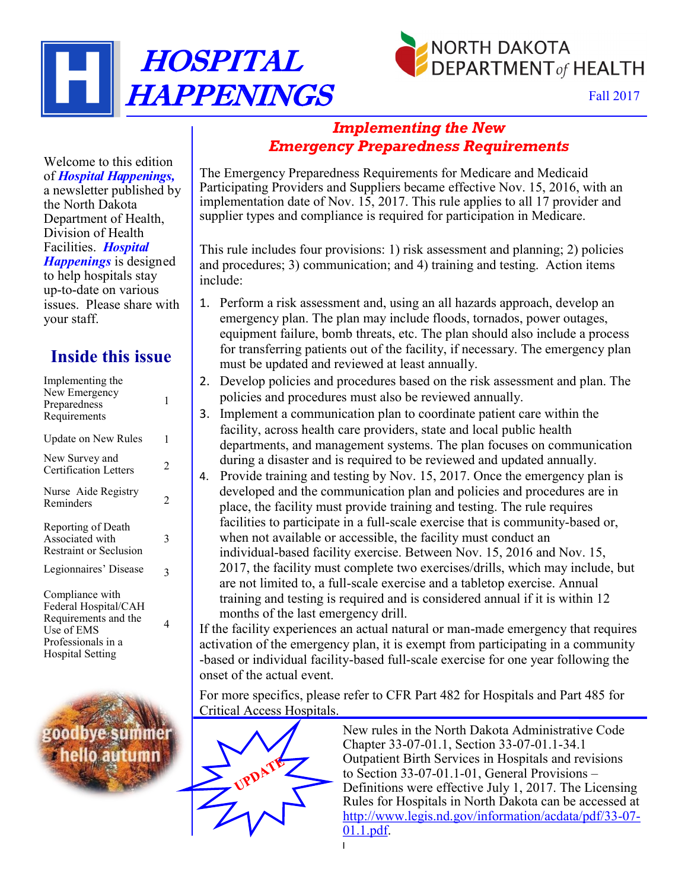

Fall 2017

### *Implementing the New Emergency Preparedness Requirements*

The Emergency Preparedness Requirements for Medicare and Medicaid Participating Providers and Suppliers became effective Nov. 15, 2016, with an implementation date of Nov. 15, 2017. This rule applies to all 17 provider and supplier types and compliance is required for participation in Medicare.

This rule includes four provisions: 1) risk assessment and planning; 2) policies and procedures; 3) communication; and 4) training and testing. Action items include:

- 1. Perform a risk assessment and, using an all hazards approach, develop an emergency plan. The plan may include floods, tornados, power outages, equipment failure, bomb threats, etc. The plan should also include a process for transferring patients out of the facility, if necessary. The emergency plan must be updated and reviewed at least annually.
- 2. Develop policies and procedures based on the risk assessment and plan. The policies and procedures must also be reviewed annually.
- 3. Implement a communication plan to coordinate patient care within the facility, across health care providers, state and local public health departments, and management systems. The plan focuses on communication during a disaster and is required to be reviewed and updated annually.
- 4. Provide training and testing by Nov. 15, 2017. Once the emergency plan is developed and the communication plan and policies and procedures are in place, the facility must provide training and testing. The rule requires facilities to participate in a full-scale exercise that is community-based or, when not available or accessible, the facility must conduct an individual-based facility exercise. Between Nov. 15, 2016 and Nov. 15, 2017, the facility must complete two exercises/drills, which may include, but are not limited to, a full-scale exercise and a tabletop exercise. Annual training and testing is required and is considered annual if it is within 12 months of the last emergency drill.

If the facility experiences an actual natural or man-made emergency that requires activation of the emergency plan, it is exempt from participating in a community -based or individual facility-based full-scale exercise for one year following the onset of the actual event.

For more specifics, please refer to CFR Part 482 for Hospitals and Part 485 for Critical Access Hospitals.



New rules in the North Dakota Administrative Code Chapter 33-07-01.1, Section 33-07-01.1-34.1 Outpatient Birth Services in Hospitals and revisions to Section 33-07-01.1-01, General Provisions – Definitions were effective July 1, 2017. The Licensing Rules for Hospitals in North Dakota can be accessed at [http://www.legis.nd.gov/information/acdata/pdf/33](http://www.legis.nd.gov/information/acdata/pdf/33-07-01.1.pdf)-07- [01.1.pdf.](http://www.legis.nd.gov/information/acdata/pdf/33-07-01.1.pdf)

Welcome to this edition of *Hospital Happenings,* a newsletter published by the North Dakota Department of Health, Division of Health Facilities. *Hospital Happenings* is designed to help hospitals stay up-to-date on various issues. Please share with your staff.

HOSPITAL

HAPPENINGS

## **Inside this issue**

| Implementing the<br>New Emergency<br>Preparedness<br>Requirements                                   | 1 |
|-----------------------------------------------------------------------------------------------------|---|
| Update on New Rules                                                                                 | 1 |
| New Survey and<br><b>Certification Letters</b>                                                      | 2 |
| Nurse Aide Registry<br>Reminders                                                                    | 2 |
| Reporting of Death<br>Associated with<br><b>Restraint or Seclusion</b>                              | 3 |
| Legionnaires' Disease                                                                               | 3 |
| Compliance with<br>Federal Hospital/CAH<br>Requirements and the<br>Use of EMS<br>Professionals in a | 4 |



Hospital Setting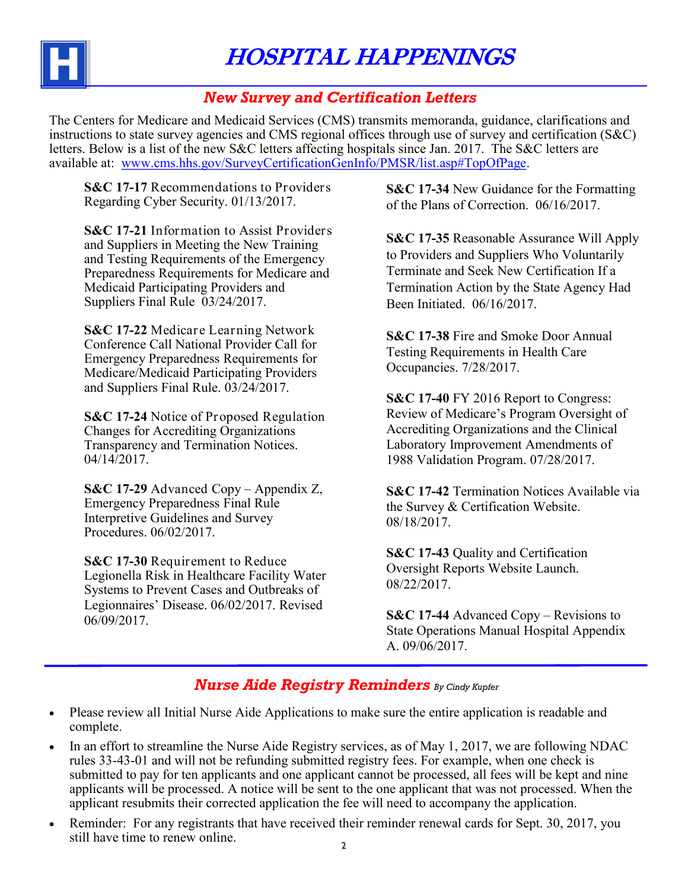

HOSPITAL HAPPENINGS

#### *New Survey and Certification Letters*

The Centers for Medicare and Medicaid Services (CMS) transmits memoranda, guidance, clarifications and instructions to state survey agencies and CMS regional offices through use of survey and certification (S&C) letters. Below is a list of the new S&C letters affecting hospitals since Jan. 2017. The S&C letters are available at: [www.cms.hhs.gov/SurveyCertificationGenInfo/PMSR/list.asp#TopOfPage.](http://www.cms.hhs.gov/SurveyCertificationGenInfo/PMSR/list.asp#TopOfPage)

**S&C 17-17** Recommendations to Providers Regarding Cyber Security. 01/13/2017.

**S&C 17-21** Information to Assist Providers and Suppliers in Meeting the New Training and Testing Requirements of the Emergency Preparedness Requirements for Medicare and Medicaid Participating Providers and Suppliers Final Rule 03/24/2017.

**S&C 17-22** Medicare Learning Network Conference Call National Provider Call for Emergency Preparedness Requirements for Medicare/Medicaid Participating Providers and Suppliers Final Rule. 03/24/2017.

**S&C 17-24** Notice of Proposed Regulation Changes for Accrediting Organizations Transparency and Termination Notices. 04/14/2017.

**S&C 17-29** Advanced Copy – Appendix Z, Emergency Preparedness Final Rule Interpretive Guidelines and Survey Procedures. 06/02/2017.

**S&C 17-30** Requirement to Reduce Legionella Risk in Healthcare Facility Water Systems to Prevent Cases and Outbreaks of Legionnaires' Disease. 06/02/2017. Revised 06/09/2017.

**S&C 17-34** New Guidance for the Formatting of the Plans of Correction. 06/16/2017.

**S&C 17-35** Reasonable Assurance Will Apply to Providers and Suppliers Who Voluntarily Terminate and Seek New Certification If a Termination Action by the State Agency Had Been Initiated. 06/16/2017.

**S&C 17-38** Fire and Smoke Door Annual Testing Requirements in Health Care Occupancies. 7/28/2017.

**S&C 17-40** FY 2016 Report to Congress: Review of Medicare's Program Oversight of Accrediting Organizations and the Clinical Laboratory Improvement Amendments of 1988 Validation Program. 07/28/2017.

**S&C 17-42** Termination Notices Available via the Survey & Certification Website. 08/18/2017.

**S&C 17-43** Quality and Certification Oversight Reports Website Launch. 08/22/2017.

**S&C 17-44** Advanced Copy – Revisions to State Operations Manual Hospital Appendix A. 09/06/2017.

#### *Nurse Aide Registry Reminders By Cindy Kupfer*

- Please review all Initial Nurse Aide Applications to make sure the entire application is readable and complete.
- In an effort to streamline the Nurse Aide Registry services, as of May 1, 2017, we are following NDAC rules 33-43-01 and will not be refunding submitted registry fees. For example, when one check is submitted to pay for ten applicants and one applicant cannot be processed, all fees will be kept and nine applicants will be processed. A notice will be sent to the one applicant that was not processed. When the applicant resubmits their corrected application the fee will need to accompany the application.
- Reminder: For any registrants that have received their reminder renewal cards for Sept. 30, 2017, you still have time to renew online.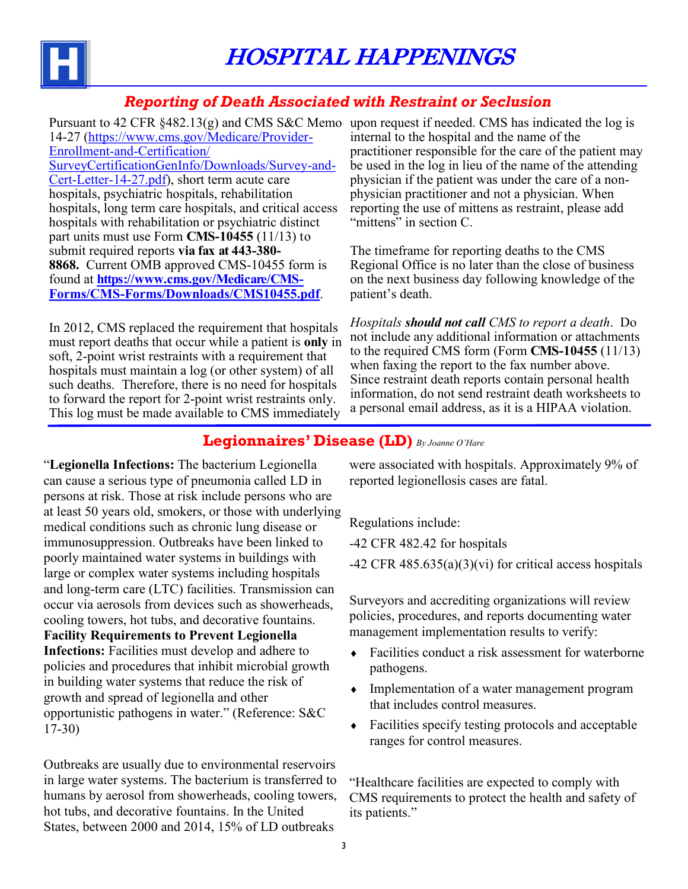

#### *Reporting of Death Associated with Restraint or Seclusion*

Pursuant to 42 CFR §482.13(g) and CMS S&C Memo upon request if needed. CMS has indicated the log is 14-27 ([https://www.cms.gov/Medicare/Provider](https://www.cms.gov/Medicare/Provider-Enrollment-and-Certification/SurveyCertificationGenInfo/Downloads/Survey-and-Cert-Letter-14-27.pdf)-Enrollment-and-[Certification/](https://www.cms.gov/Medicare/Provider-Enrollment-and-Certification/SurveyCertificationGenInfo/Downloads/Survey-and-Cert-Letter-14-27.pdf) [SurveyCertificationGenInfo/Downloads/Survey](https://www.cms.gov/Medicare/Provider-Enrollment-and-Certification/SurveyCertificationGenInfo/Downloads/Survey-and-Cert-Letter-14-27.pdf)-and-Cert-Letter-14-[27.pdf\),](https://www.cms.gov/Medicare/Provider-Enrollment-and-Certification/SurveyCertificationGenInfo/Downloads/Survey-and-Cert-Letter-14-27.pdf) short term acute care hospitals, psychiatric hospitals, rehabilitation hospitals, long term care hospitals, and critical access hospitals with rehabilitation or psychiatric distinct part units must use Form **CMS-10455** (11/13) to submit required reports **via fax at 443-380- 8868.** Current OMB approved CMS-10455 form is found at **[https://www.cms.gov/Medicare/CMS](https://www.cms.gov/Medicare/CMS-Forms/CMS-Forms/Downloads/CMS10455.pdf)-Forms/CMS-[Forms/Downloads/CMS10455.pdf](https://www.cms.gov/Medicare/CMS-Forms/CMS-Forms/Downloads/CMS10455.pdf)**.

In 2012, CMS replaced the requirement that hospitals must report deaths that occur while a patient is **only** in soft, 2-point wrist restraints with a requirement that hospitals must maintain a log (or other system) of all such deaths. Therefore, there is no need for hospitals to forward the report for 2-point wrist restraints only. This log must be made available to CMS immediately

internal to the hospital and the name of the practitioner responsible for the care of the patient may be used in the log in lieu of the name of the attending physician if the patient was under the care of a nonphysician practitioner and not a physician. When reporting the use of mittens as restraint, please add "mittens" in section C.

The timeframe for reporting deaths to the CMS Regional Office is no later than the close of business on the next business day following knowledge of the patient's death.

*Hospitals should not call CMS to report a death*. Do not include any additional information or attachments to the required CMS form (Form **CMS-10455** (11/13) when faxing the report to the fax number above. Since restraint death reports contain personal health information, do not send restraint death worksheets to a personal email address, as it is a HIPAA violation.

#### **Legionnaires' Disease (LD)** *By Joanne O'Hare*

"**Legionella Infections:** The bacterium Legionella can cause a serious type of pneumonia called LD in persons at risk. Those at risk include persons who are at least 50 years old, smokers, or those with underlying medical conditions such as chronic lung disease or immunosuppression. Outbreaks have been linked to poorly maintained water systems in buildings with large or complex water systems including hospitals and long-term care (LTC) facilities. Transmission can occur via aerosols from devices such as showerheads, cooling towers, hot tubs, and decorative fountains. **Facility Requirements to Prevent Legionella Infections:** Facilities must develop and adhere to policies and procedures that inhibit microbial growth in building water systems that reduce the risk of growth and spread of legionella and other opportunistic pathogens in water." (Reference: S&C 17-30)

Outbreaks are usually due to environmental reservoirs in large water systems. The bacterium is transferred to humans by aerosol from showerheads, cooling towers, hot tubs, and decorative fountains. In the United States, between 2000 and 2014, 15% of LD outbreaks

were associated with hospitals. Approximately 9% of reported legionellosis cases are fatal.

Regulations include:

-42 CFR 482.42 for hospitals

 $-42$  CFR  $485.635(a)(3)(vi)$  for critical access hospitals

Surveyors and accrediting organizations will review policies, procedures, and reports documenting water management implementation results to verify:

- Facilities conduct a risk assessment for waterborne pathogens.
- Implementation of a water management program that includes control measures.
- Facilities specify testing protocols and acceptable ranges for control measures.

"Healthcare facilities are expected to comply with CMS requirements to protect the health and safety of its patients."